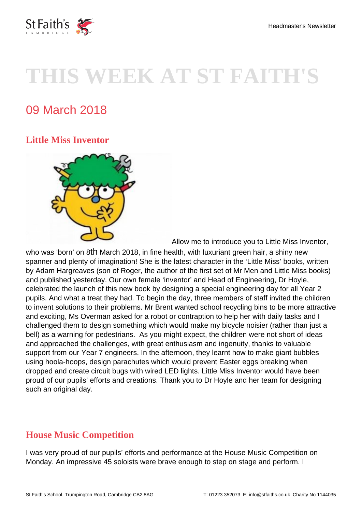

# **THIS WEEK AT ST FAITH'S**

# 09 March 2018

# **Little Miss Inventor**



[A](https://www.stfaiths.co.uk/wp-content/uploads/2018/03/LMI.jpg)llow me to introduce you to Little Miss Inventor,

who was 'born' on 8th March 2018, in fine health, with luxuriant green hair, a shiny new spanner and plenty of imagination! She is the latest character in the 'Little Miss' books, written by Adam Hargreaves (son of Roger, the author of the first set of Mr Men and Little Miss books) and published yesterday. Our own female 'inventor' and Head of Engineering, Dr Hoyle, celebrated the launch of this new book by designing a special engineering day for all Year 2 pupils. And what a treat they had. To begin the day, three members of staff invited the children to invent solutions to their problems. Mr Brent wanted school recycling bins to be more attractive and exciting, Ms Overman asked for a robot or contraption to help her with daily tasks and I challenged them to design something which would make my bicycle noisier (rather than just a bell) as a warning for pedestrians. As you might expect, the children were not short of ideas and approached the challenges, with great enthusiasm and ingenuity, thanks to valuable support from our Year 7 engineers. In the afternoon, they learnt how to make giant bubbles using hoola-hoops, design parachutes which would prevent Easter eggs breaking when dropped and create circuit bugs with wired LED lights. Little Miss Inventor would have been proud of our pupils' efforts and creations. Thank you to Dr Hoyle and her team for designing such an original day.

### **House Music Competition**

I was very proud of our pupils' efforts and performance at the House Music Competition on Monday. An impressive 45 soloists were brave enough to step on stage and perform. I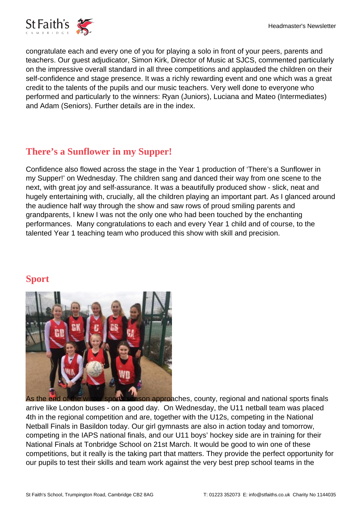congratulate each and every one of you for playing a solo in front of your peers, parents and teachers. Our guest adjudicator, Simon Kirk, Director of Music at SJCS, commented particularly on the impressive overall standard in all three competitions and applauded the children on their self-confidence and stage presence. It was a richly rewarding event and one which was a great credit to the talents of the pupils and our music teachers. Very well done to everyone who performed and particularly to the winners: Ryan (Juniors), Luciana and Mateo (Intermediates) and Adam (Seniors). Further details are in the index.

# **There's a Sunflower in my Supper!**

Confidence also flowed across the stage in the Year 1 production of 'There's a Sunflower in my Supper!' on Wednesday. The children sang and danced their way from one scene to the next, with great joy and self-assurance. It was a beautifully produced show - slick, neat and hugely entertaining with, crucially, all the children playing an important part. As I glanced around the audience half way through the show and saw rows of proud smiling parents and grandparents, I knew I was not the only one who had been touched by the enchanting performances. Many congratulations to each and every Year 1 child and of course, to the talented Year 1 teaching team who produced this show with skill and precision.

### **Sport**



[As the end of the winter sports season approa](https://www.stfaiths.co.uk/wp-content/uploads/2018/03/U12-Netball-Team.jpg)ches, county, regional and national sports finals arrive like London buses - on a good day. On Wednesday, the U11 netball team was placed 4th in the regional competition and are, together with the U12s, competing in the National Netball Finals in Basildon today. Our girl gymnasts are also in action today and tomorrow, competing in the IAPS national finals, and our U11 boys' hockey side are in training for their National Finals at Tonbridge School on 21st March. It would be good to win one of these competitions, but it really is the taking part that matters. They provide the perfect opportunity for our pupils to test their skills and team work against the very best prep school teams in the